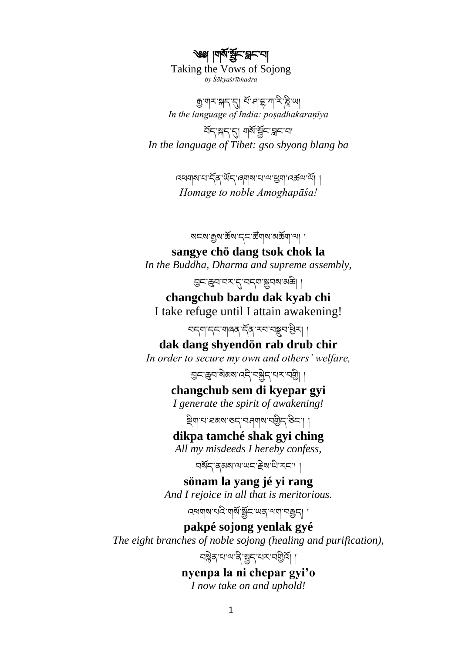্ঞা । দাম'শ্লন' ব্লন' না Taking the Vows of Sojong *by Śākyaśrībhadra*

ক্সুঁ আন্সামুহা বুলি বুলি আৰু বিদ্যালয় বি *In the language of India: poṣadhakaraṇīya*

བོད་སྐད་དུ། གསོ་སོང་བླང་བ། *In the language of Tibet: gso sbyong blang ba*

> འཕགས་པ་དོན་ཡོད་ཞགས་པ་ལ་ཕྱག་འཚལ་ལོ། ། *Homage to noble Amoghapāśa!*

> > ষহম'ক্কুম'ৰ্ক্ৰম'হ্ন'ৰ্স্কিশ্ম'মৰ্ক্ষিণ্'শ্ৰা |

**sangye chö dang tsok chok la** *In the Buddha, Dharma and supreme assembly,*

བྱང་ཆུབ་བར་དུ་བདག་སྐྱབས་མཆི། །

**changchub bardu dak kyab chi** I take refuge until I attain awakening!

བདག་དང་གཞན་དོན་རབ་བསྒྲུབ་ཕྱིར། །

**dak dang shyendön rab drub chir** *In order to secure my own and others' welfare,*

བྱང་ཆུབ་སེམས་འདི་བསྐྱེད་པར་བགི། །

**changchub sem di kyepar gyi**

*I generate the spirit of awakening!*

ষ্ট্ৰিশ'থ'ৰমম'ৰুদ্'যন্ত্ৰশাম'বন্ত্ৰীদ'ৰ্ভন'।।

### **dikpa tamché shak gyi ching**

*All my misdeeds I hereby confess,*

བསོད་ནམས་ལ་ཡང་རེས་ཡི་རང༌། །

**sönam la yang jé yi rang** *And I rejoice in all that is meritorious.*

འཕགས་པའི་གསོ་སོང་ཡན་ལག་བརྒྱད། །

**pakpé sojong yenlak gyé** *The eight branches of noble sojong (healing and purification),*

ঘণ্ণ্ণ্ৰ আৰু মুদ্ৰ ব্যৱস্থা

**nyenpa la ni chepar gyi'o** *I now take on and uphold!*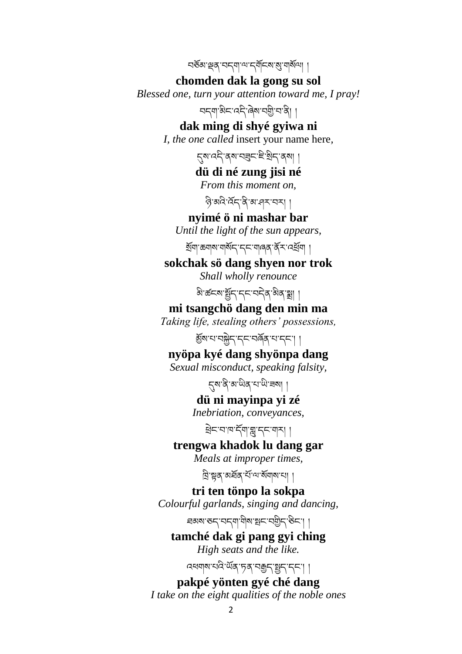བཅོམ་ལྡན་བདག་ལ་དགོངས་སུ་གསོལ། །

**chomden dak la gong su sol** *Blessed one, turn your attention toward me, I pray!*

བདག་མིང་འདི་ཞེས་བགི་བ་ནི། །

**dak ming di shyé gyiwa ni** *I, the one called* insert your name here*,*

དུས་འདི་ནས་བཟུང་ཇི་སིད་ནས། །

**dü di né zung jisi né**

*From this moment on,*

ন্তি'ঝবি'ৰ্ম্ব'ৰ্ম' মুখ দিম'বৰ

**nyimé ö ni mashar bar**

*Until the light of the sun appears,*

སོག་ཆགས་གསོད་དང་གཞན་ནོར་འཕོག །

**sokchak sö dang shyen nor trok** *Shall wholly renounce*

ষ্টার্ডনমার্ষ্ট্রনামনের জিকান্ত্রা

**mi tsangchö dang den min ma** *Taking life, stealing others' possessions,*

མོས་པ་བསྐྱེད་དང་བཞོན་པ་དང༌། །

**nyöpa kyé dang shyönpa dang**

*Sexual misconduct, speaking falsity,*

དུས་ནི་མ་ཡིན་པ་ཡི་ཟས། །

**dü ni mayinpa yi zé**

*Inebriation, conveyances,*

ཕེང་བ་ཁ་དོག་གླུ་དང་གར། །

**trengwa khadok lu dang gar**

*Meals at improper times,*

ন্নিম্নৰ অৰ্ষৰ শ্মান্ম ৰাজ্যৰ

**tri ten tönpo la sokpa** *Colourful garlands, singing and dancing,* ཐམས་ཅད་བདག་གིས་སྤང་བགིད་ཅིང༌། །

**tamché dak gi pang gyi ching** *High seats and the like.*

ব্ৰধনাৰ ঘৰি ৰ্উৰ 'চৰ' ৰক্তু ৰাষ্ট্ৰ ৰাজ্যৰ

**pakpé yönten gyé ché dang** *I take on the eight qualities of the noble ones*